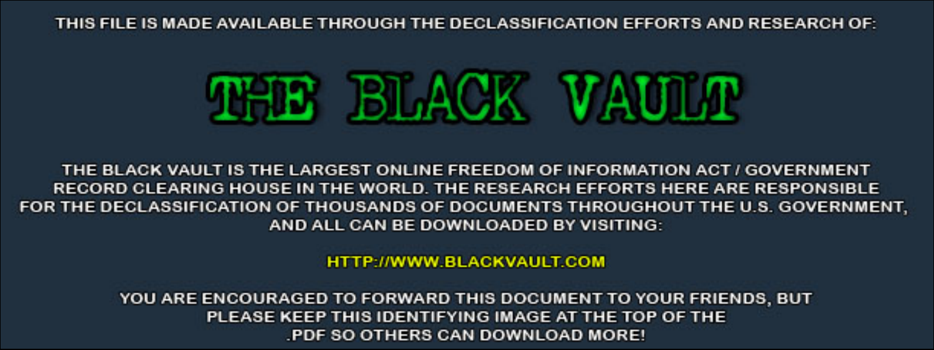THIS FILE IS MADE AVAILABLE THROUGH THE DECLASSIFICATION EFFORTS AND RESEARCH OF:



THE BLACK VAULT IS THE LARGEST ONLINE FREEDOM OF INFORMATION ACT / GOVERNMENT RECORD CLEARING HOUSE IN THE WORLD. THE RESEARCH EFFORTS HERE ARE RESPONSIBLE FOR THE DECLASSIFICATION OF THOUSANDS OF DOCUMENTS THROUGHOUT THE U.S. GOVERNMENT, AND ALL CAN BE DOWNLOADED BY VISITING:

**HTTP://WWW.BLACKVAULT.COM** 

YOU ARE ENCOURAGED TO FORWARD THIS DOCUMENT TO YOUR FRIENDS, BUT PLEASE KEEP THIS IDENTIFYING IMAGE AT THE TOP OF THE PDF SO OTHERS CAN DOWNLOAD MORE!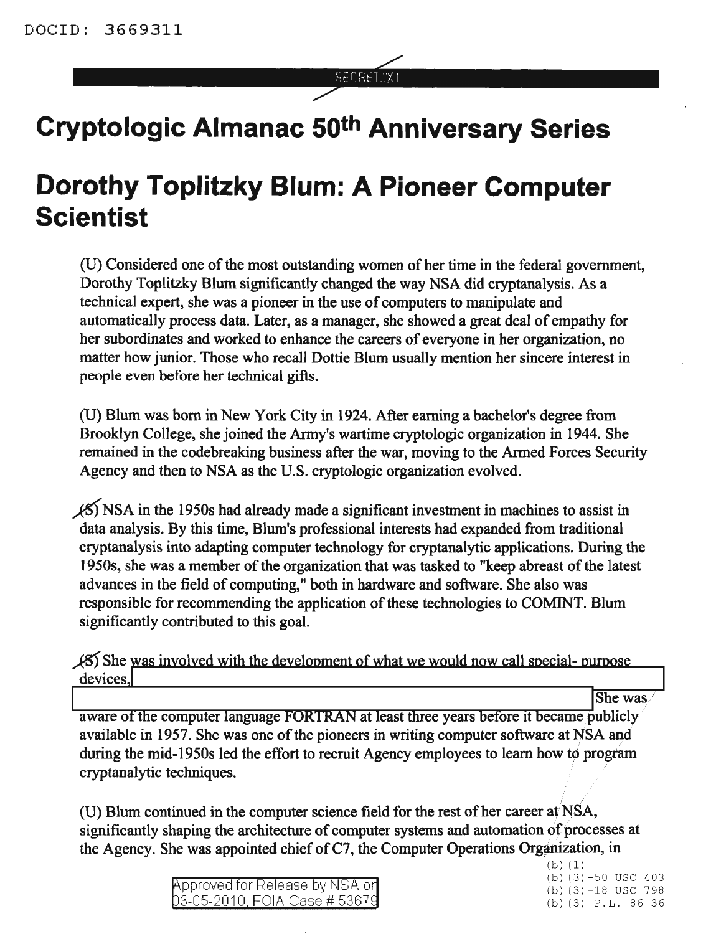**SECRET X** 

## **Cryptologic Almanac 50th Anniversary Series**

## **Dorothy Toplitzky Blum: A Pioneer Computer Scientist**

(U) Considered one of the most outstanding women of her time in the federal government, Dorothy Toplitzky Blum significantly changed the way NSA did cryptanalysis. As a technical expert, she was a pioneer in the use of computers to manipulate and automatically process data. Later, as a manager, she showed a great deal of empathy for her subordinates and worked to enhance the careers of everyone in her organization, no matter how junior. Those who recall Dottie Blum usually mention her sincere interest in people even before her technical gifts.

(U) Blum was born in New York City in 1924. After earning a bachelor's degree from Brooklyn College, she joined the Army's wartime cryptologic organization in 1944. She remained in the codebreaking business after the war, moving to the Armed Forces Security Agency and then to NSA as the U.S. cryptologic organization evolved.

 $\frac{\sqrt{5}}{5}$  NSA in the 1950s had already made a significant investment in machines to assist in data analysis. By this time, Blum's professional interests had expanded from traditional cryptanalysis into adapting computer technology for cryptanalytic applications. During the 1950s, she was a member of the organization that was tasked to "keep abreast of the latest advances in the field of computing," both in hardware and software. She also was responsible for recommending the application of these technologies to COMINT. Blum significantly contributed to this goal.

(8) She was involved with the development of what we would now call special-purpose devices,

She was

aware of the computer language FORTRAN at least three years before it became publicly available in 1957. She was one of the pioneers in writing computer software at NSA and during the mid-1950s led the effort to recruit Agency employees to learn how to program cryptanalytic techniques.

(U) Blum continued in the computer science field for the rest of her career at NSA, significantly shaping the architecture of computer systems and automation of processes at the Agency. She was appointed chief of  $C7$ , the Computer Operations Organization, in

> Approved for Release by NSA or D3-05-2010, FOIA Case # 53679

(b) (1) (b) (3)-50 USC 403 (b) (3)-18 USC 798  $(b)$  (3)  $-P.L. 86-36$